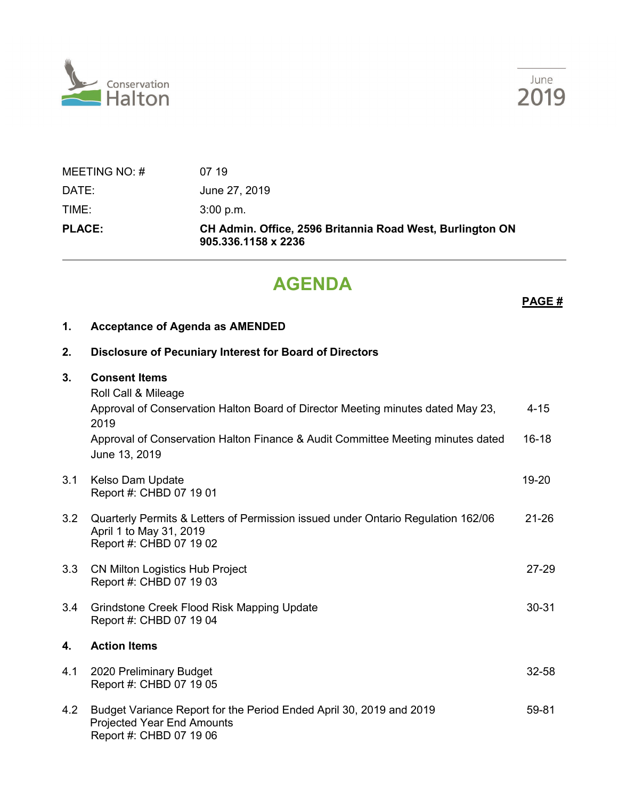



| <b>PLACE:</b> | CH Admin. Office, 2596 Britannia Road West, Burlington ON<br>905.336.1158 x 2236 |
|---------------|----------------------------------------------------------------------------------|
| TIME:         | $3:00$ p.m.                                                                      |
| DATE:         | June 27, 2019                                                                    |
| MEETING NO: # | 07 19                                                                            |

# **AGENDA**

**PAGE #**

## **1. Acceptance of Agenda as AMENDED**

# **2. Disclosure of Pecuniary Interest for Board of Directors**

| 3.  | <b>Consent Items</b><br>Roll Call & Mileage                                                                                            |           |
|-----|----------------------------------------------------------------------------------------------------------------------------------------|-----------|
|     | Approval of Conservation Halton Board of Director Meeting minutes dated May 23,<br>2019                                                | $4 - 15$  |
|     | Approval of Conservation Halton Finance & Audit Committee Meeting minutes dated<br>June 13, 2019                                       | $16 - 18$ |
| 3.1 | Kelso Dam Update<br>Report #: CHBD 07 19 01                                                                                            | 19-20     |
| 3.2 | Quarterly Permits & Letters of Permission issued under Ontario Regulation 162/06<br>April 1 to May 31, 2019<br>Report #: CHBD 07 19 02 | $21 - 26$ |
| 3.3 | CN Milton Logistics Hub Project<br>Report #: CHBD 07 19 03                                                                             | $27 - 29$ |
| 3.4 | Grindstone Creek Flood Risk Mapping Update<br>Report #: CHBD 07 19 04                                                                  | 30-31     |
| 4.  | <b>Action Items</b>                                                                                                                    |           |
| 4.1 | 2020 Preliminary Budget<br>Report #: CHBD 07 19 05                                                                                     | 32-58     |
| 4.2 | Budget Variance Report for the Period Ended April 30, 2019 and 2019<br><b>Projected Year End Amounts</b><br>Report #: CHBD 07 19 06    | 59-81     |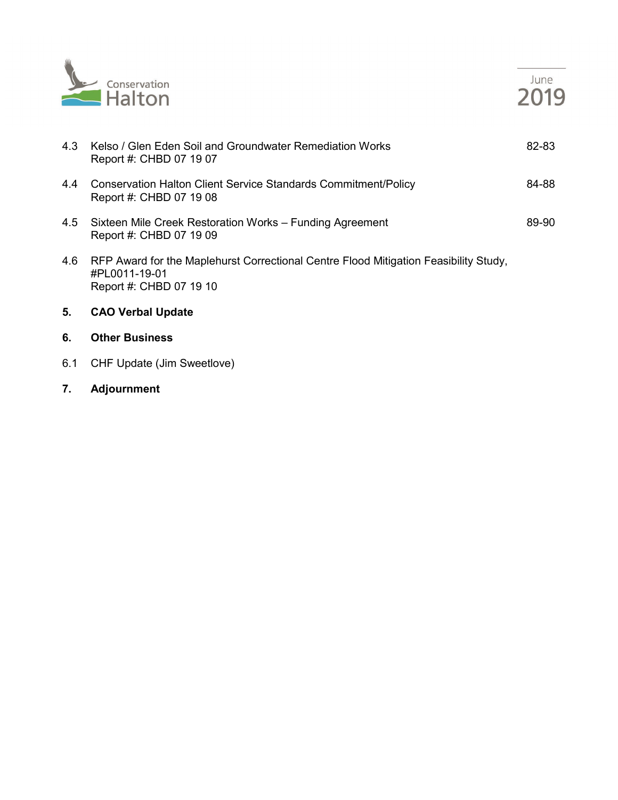

| 5.  | <b>CAO Verbal Update</b>                                                                                                         |       |
|-----|----------------------------------------------------------------------------------------------------------------------------------|-------|
| 4.6 | RFP Award for the Maplehurst Correctional Centre Flood Mitigation Feasibility Study,<br>#PL0011-19-01<br>Report #: CHBD 07 19 10 |       |
|     | 4.5 Sixteen Mile Creek Restoration Works – Funding Agreement<br>Report #: CHBD 07 19 09                                          | 89-90 |
| 4.4 | <b>Conservation Halton Client Service Standards Commitment/Policy</b><br>Report #: CHBD 07 19 08                                 | 84-88 |
| 4.3 | Kelso / Glen Eden Soil and Groundwater Remediation Works<br>Report #: CHBD 07 19 07                                              | 82-83 |

### **6. Other Business**

- 6.1 CHF Update (Jim Sweetlove)
- **7. Adjournment**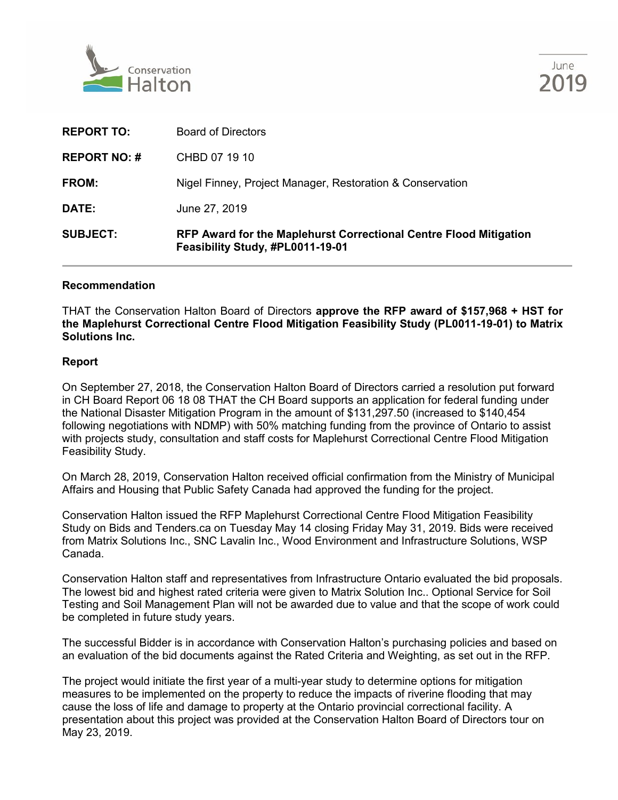



| <b>SUBJECT:</b>     | RFP Award for the Maplehurst Correctional Centre Flood Mitigation<br>Feasibility Study, #PL0011-19-01 |
|---------------------|-------------------------------------------------------------------------------------------------------|
| <b>DATE:</b>        | June 27, 2019                                                                                         |
| <b>FROM:</b>        | Nigel Finney, Project Manager, Restoration & Conservation                                             |
| <b>REPORT NO: #</b> | CHBD 07 19 10                                                                                         |
| <b>REPORT TO:</b>   | <b>Board of Directors</b>                                                                             |

#### **Recommendation**

THAT the Conservation Halton Board of Directors **approve the RFP award of \$157,968 + HST for the Maplehurst Correctional Centre Flood Mitigation Feasibility Study (PL0011-19-01) to Matrix Solutions Inc.**

#### **Report**

On September 27, 2018, the Conservation Halton Board of Directors carried a resolution put forward in CH Board Report 06 18 08 THAT the CH Board supports an application for federal funding under the National Disaster Mitigation Program in the amount of \$131,297.50 (increased to \$140,454 following negotiations with NDMP) with 50% matching funding from the province of Ontario to assist with projects study, consultation and staff costs for Maplehurst Correctional Centre Flood Mitigation Feasibility Study.

On March 28, 2019, Conservation Halton received official confirmation from the Ministry of Municipal Affairs and Housing that Public Safety Canada had approved the funding for the project.

Conservation Halton issued the RFP Maplehurst Correctional Centre Flood Mitigation Feasibility Study on Bids and Tenders.ca on Tuesday May 14 closing Friday May 31, 2019. Bids were received from Matrix Solutions Inc., SNC Lavalin Inc., Wood Environment and Infrastructure Solutions, WSP Canada.

Conservation Halton staff and representatives from Infrastructure Ontario evaluated the bid proposals. The lowest bid and highest rated criteria were given to Matrix Solution Inc.. Optional Service for Soil Testing and Soil Management Plan will not be awarded due to value and that the scope of work could be completed in future study years.

The successful Bidder is in accordance with Conservation Halton's purchasing policies and based on an evaluation of the bid documents against the Rated Criteria and Weighting, as set out in the RFP.

The project would initiate the first year of a multi-year study to determine options for mitigation measures to be implemented on the property to reduce the impacts of riverine flooding that may cause the loss of life and damage to property at the Ontario provincial correctional facility. A presentation about this project was provided at the Conservation Halton Board of Directors tour on May 23, 2019.